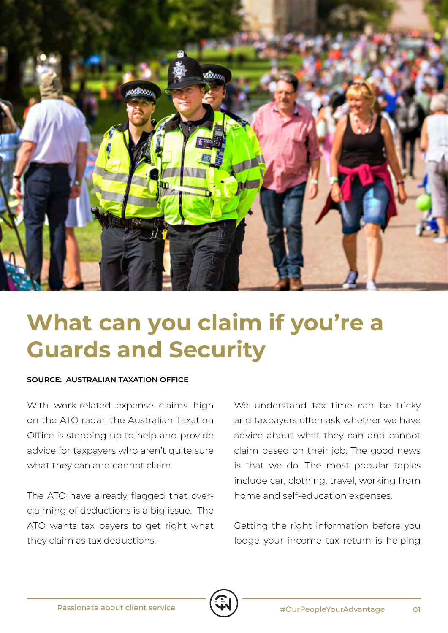

## **What can you claim if you're a Guards and Security**

## **SOURCE: AUSTRALIAN TAXATION OFFICE**

With work-related expense claims high on the ATO radar, the Australian Taxation Office is stepping up to help and provide advice for taxpayers who aren't quite sure what they can and cannot claim.

The ATO have already flagged that overclaiming of deductions is a big issue. The ATO wants tax payers to get right what they claim as tax deductions.

We understand tax time can be tricky and taxpayers often ask whether we have advice about what they can and cannot claim based on their job. The good news is that we do. The most popular topics include car, clothing, travel, working from home and self-education expenses.

Getting the right information before you lodge your income tax return is helping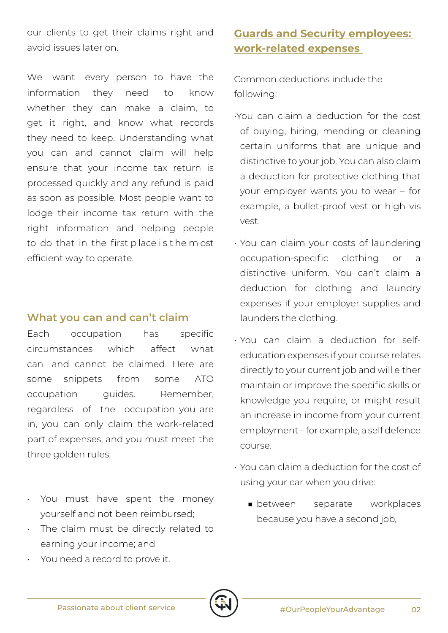our clients to get their claims right and avoid issues later on.

We want every person to have the information they need to know whether they can make a claim, to get it right, and know what records they need to keep. Understanding what you can and cannot claim will help ensure that your income tax return is processed quickly and any refund is paid as soon as possible. Most people want to lodge their income tax return with the right information and helping people to do that in the first p lace i s t he m ost efficient way to operate.

## **What you can and can't claim**

Each occupation has specific circumstances which affect what can and cannot be claimed. Here are some snippets from some ATO occupation guides. Remember, regardless of the occupation you are in, you can only claim the work-related part of expenses, and you must meet the three golden rules:

- You must have spent the money yourself and not been reimbursed;
- The claim must be directly related to earning your income; and
- You need a record to prove it.

## **Guards and Security employees: work-related expenses**

Common deductions include the following:

- •You can claim a deduction for the cost of buying, hiring, mending or cleaning certain uniforms that are unique and distinctive to your job. You can also claim a deduction for protective clothing that your employer wants you to wear – for example, a bullet-proof vest or high vis vest.
- You can claim your costs of laundering occupation-specific clothing or a distinctive uniform. You can't claim a deduction for clothing and laundry expenses if your employer supplies and launders the clothing.
- You can claim a deduction for selfeducation expenses if your course relates directly to your current job and will either maintain or improve the specific skills or knowledge you require, or might result an increase in income from your current employment – for example, a self defence course.
- You can claim a deduction for the cost of using your car when you drive:
	- between separate workplaces because you have a second job,